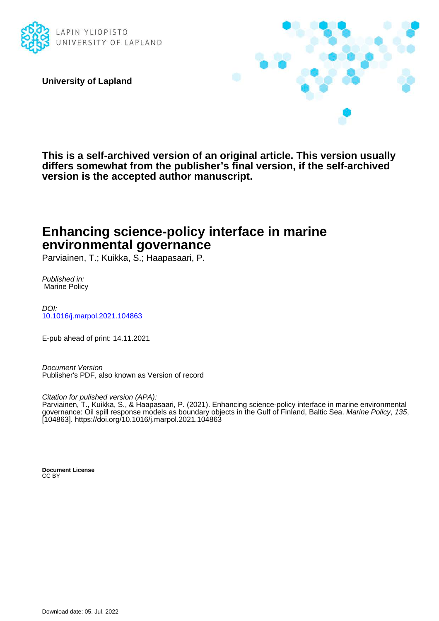

**University of Lapland**



**This is a self-archived version of an original article. This version usually differs somewhat from the publisher's final version, if the self-archived version is the accepted author manuscript.**

# **Enhancing science-policy interface in marine environmental governance**

Parviainen, T.; Kuikka, S.; Haapasaari, P.

Published in: Marine Policy

DOI: [10.1016/j.marpol.2021.104863](https://doi.org/10.1016/j.marpol.2021.104863)

E-pub ahead of print: 14.11.2021

Document Version Publisher's PDF, also known as Version of record

Citation for pulished version (APA):

Parviainen, T., Kuikka, S., & Haapasaari, P. (2021). Enhancing science-policy interface in marine environmental governance: Oil spill response models as boundary objects in the Gulf of Finland, Baltic Sea. Marine Policy, 135, [104863].<https://doi.org/10.1016/j.marpol.2021.104863>

**Document License** CC BY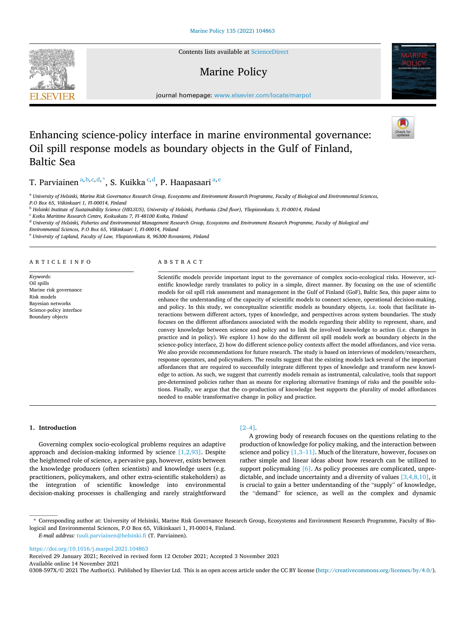Contents lists available at [ScienceDirect](www.sciencedirect.com/science/journal/0308597X)

## Marine Policy

journal homepage: [www.elsevier.com/locate/marpol](https://www.elsevier.com/locate/marpol) 

## Enhancing science-policy interface in marine environmental governance: Oil spill response models as boundary objects in the Gulf of Finland, Baltic Sea

T. Parviainen <sup>a, b, c, d, \*</sup>, S. Kuikka <sup>c, d</sup>, P. Haapasaari <sup>a, e</sup>

<sup>a</sup> *University of Helsinki, Marine Risk Governance Research Group, Ecosystems and Environment Research Programme, Faculty of Biological and Environmental Sciences, P.O Box 65, Viikinkaari 1, FI-00014, Finland* 

<sup>b</sup> *Helsinki Institute of Sustainability Science (HELSUS), University of Helsinki, Porthania (2nd foor), Yliopistonkatu 3, FI-00014, Finland* 

<sup>c</sup> *Kotka Maritime Research Centre, Keskuskatu 7, FI-48100 Kotka, Finland* 

<sup>d</sup> *University of Helsinki, Fisheries and Environmental Management Research Group, Ecosystems and Environment Research Programme, Faculty of Biological and* 

*Environmental Sciences, P.O Box 65, Viikinkaari 1, FI-00014, Finland* 

<sup>e</sup> *University of Lapland, Faculty of Law, Yliopistonkatu 8, 96300 Rovaniemi, Finland* 

A R T I C L E I N F O

*Keywords:*  Oil spills Marine risk governance Risk models Bayesian networks Science-policy interface

Boundary objects

## ABSTRACT

Scientifc models provide important input to the governance of complex socio-ecological risks. However, scientifc knowledge rarely translates to policy in a simple, direct manner. By focusing on the use of scientifc models for oil spill risk assessment and management in the Gulf of Finland (GoF), Baltic Sea, this paper aims to enhance the understanding of the capacity of scientifc models to connect science, operational decision-making, and policy. In this study, we conceptualize scientifc models as boundary objects, i.e. tools that facilitate interactions between different actors, types of knowledge, and perspectives across system boundaries. The study focuses on the different affordances associated with the models regarding their ability to represent, share, and convey knowledge between science and policy and to link the involved knowledge to action (i.e. changes in practice and in policy). We explore 1) how do the different oil spill models work as boundary objects in the science-policy interface, 2) how do different science-policy contexts affect the model affordances, and vice versa. We also provide recommendations for future research. The study is based on interviews of modelers/researchers, response operators, and policymakers. The results suggest that the existing models lack several of the important affordances that are required to successfully integrate different types of knowledge and transform new knowledge to action. As such, we suggest that currently models remain as instrumental, calculative, tools that support pre-determined policies rather than as means for exploring alternative framings of risks and the possible solutions. Finally, we argue that the co-production of knowledge best supports the plurality of model affordances needed to enable transformative change in policy and practice.

**1. Introduction** 

Governing complex socio-ecological problems requires an adaptive approach and decision-making informed by science [\[1,2,93\].](#page-11-0) Despite the heightened role of science, a pervasive gap, however, exists between the knowledge producers (often scientists) and knowledge users (e.g. practitioners, policymakers, and other extra-scientifc stakeholders) as the integration of scientifc knowledge into environmental decision-making processes is challenging and rarely straightforward

## $[2-4]$  $[2-4]$ .

A growing body of research focuses on the questions relating to the production of knowledge for policy making, and the interaction between science and policy [\[1,3](#page-11-0)–11]. Much of the literature, however, focuses on rather simple and linear ideas about how research can be utilized to support policymaking [\[6\].](#page-11-0) As policy processes are complicated, unpredictable, and include uncertainty and a diversity of values [\[3,4,8,10\]](#page-11-0), it is crucial to gain a better understanding of the "supply" of knowledge, the "demand" for science, as well as the complex and dynamic

*E-mail address: [tuuli.parviainen@helsinki.f](mailto:tuuli.parviainen@helsinki.fi)i (T. Parviainen).* 

<https://doi.org/10.1016/j.marpol.2021.104863>

Available online 14 November 2021 Received 29 January 2021; Received in revised form 12 October 2021; Accepted 3 November 2021

0308-597X/© 2021 The Author(s). Published by Elsevier Ltd. This is an open access article under the CC BY license [\(http://creativecommons.org/licenses/by/4.0/\)](http://creativecommons.org/licenses/by/4.0/).





<sup>\*</sup> Corresponding author at: University of Helsinki, Marine Risk Governance Research Group, Ecosystems and Environment Research Programme, Faculty of Biological and Environmental Sciences, P.O Box 65, Viikinkaari 1, FI-00014, Finland.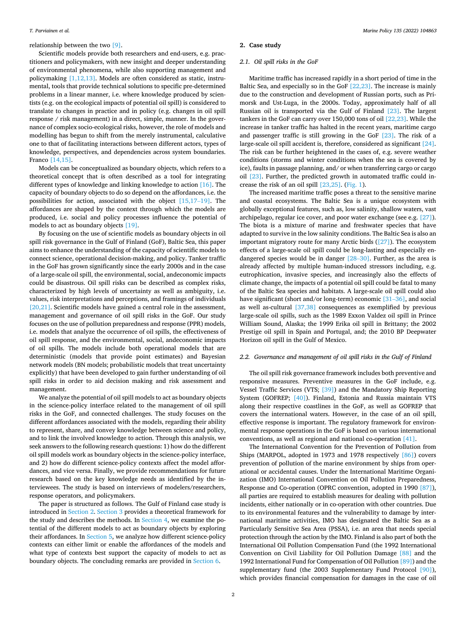<span id="page-2-0"></span>relationship between the two [\[9\].](#page-11-0)

Scientific models provide both researchers and end-users, e.g. practitioners and policymakers, with new insight and deeper understanding of environmental phenomena, while also supporting management and policymaking [\[1,12,13\].](#page-11-0) Models are often considered as static, instrumental, tools that provide technical solutions to specifc pre-determined problems in a linear manner, i.e. where knowledge produced by scientists (e.g. on the ecological impacts of potential oil spill) is considered to translate to changes in practice and in policy (e.g. changes in oil spill response / risk management) in a direct, simple, manner. In the governance of complex socio-ecological risks, however, the role of models and modelling has begun to shift from the merely instrumental, calculative one to that of facilitating interactions between different actors, types of knowledge, perspectives, and dependencies across system boundaries. Franco [\[14,15\].](#page-11-0)

Models can be conceptualized as boundary objects, which refers to a theoretical concept that is often described as a tool for integrating different types of knowledge and linking knowledge to action [\[16\]](#page-11-0). The capacity of boundary objects to do so depend on the affordances, i.e. the possibilities for action, associated with the object [\[15,17](#page-11-0)–19]. The affordances are shaped by the context through which the models are produced, i.e. social and policy processes infuence the potential of models to act as boundary objects [\[19\].](#page-11-0)

By focusing on the use of scientifc models as boundary objects in oil spill risk governance in the Gulf of Finland (GoF), Baltic Sea, this paper aims to enhance the understanding of the capacity of scientifc models to connect science, operational decision-making, and policy. Tanker traffic in the GoF has grown signifcantly since the early 2000s and in the case of a large-scale oil spill, the environmental, social, andeconomic impacts could be disastrous. Oil spill risks can be described as complex risks, characterized by high levels of uncertainty as well as ambiguity, i.e. values, risk interpretations and perceptions, and framings of individuals [\[20,21\].](#page-11-0) Scientific models have gained a central role in the assessment, management and governance of oil spill risks in the GoF. Our study focuses on the use of pollution preparedness and response (PPR) models, i.e. models that analyze the occurrence of oil spills, the effectiveness of oil spill response, and the environmental, social, andeconomic impacts of oil spills. The models include both operational models that are deterministic (models that provide point estimates) and Bayesian network models (BN models; probabilistic models that treat uncertainty explicitly) that have been developed to gain further understanding of oil spill risks in order to aid decision making and risk assessment and management.

We analyze the potential of oil spill models to act as boundary objects in the science-policy interface related to the management of oil spill risks in the GoF, and connected challenges. The study focuses on the different affordances associated with the models, regarding their ability to represent, share, and convey knowledge between science and policy, and to link the involved knowledge to action. Through this analysis, we seek answers to the following research questions: 1) how do the different oil spill models work as boundary objects in the science-policy interface, and 2) how do different science-policy contexts affect the model affordances, and vice versa. Finally, we provide recommendations for future research based on the key knowledge needs as identifed by the interviewees. The study is based on interviews of modelers/researchers, response operators, and policymakers.

The paper is structured as follows. The Gulf of Finland case study is introduced in Section 2. [Section 3](#page-4-0) provides a theoretical framework for the study and describes the methods. In [Section 4](#page-5-0), we examine the potential of the different models to act as boundary objects by exploring their affordances. In [Section 5](#page-8-0), we analyze how different science-policy contexts can either limit or enable the affordances of the models and what type of contexts best support the capacity of models to act as boundary objects. The concluding remarks are provided in [Section 6.](#page-10-0)

## **2. Case study**

## *2.1. Oil spill risks in the GoF*

Maritime traffic has increased rapidly in a short period of time in the Baltic Sea, and especially so in the GoF  $[22,23]$ . The increase is mainly due to the construction and development of Russian ports, such as Primorsk and Ust-Luga, in the 2000s. Today, approximately half of all Russian oil is transported via the Gulf of Finland [\[23\].](#page-11-0) The largest tankers in the GoF can carry over 150,000 tons of oil [\[22,23\].](#page-11-0) While the increase in tanker traffic has halted in the recent years, maritime cargo and passenger traffic is still growing in the GoF  $[23]$ . The risk of a large-scale oil spill accident is, therefore, considered as significant [\[24\]](#page-11-0). The risk can be further heightened in the cases of, e.g. severe weather conditions (storms and winter conditions when the sea is covered by ice), faults in passage planning, and/ or when transferring cargo or cargo oil  $[23]$ . Further, the predicted growth in automated traffic could increase the risk of an oil spill [\[23,25\].](#page-11-0) [\(Fig. 1](#page-3-0)).

The increased maritime traffic poses a threat to the sensitive marine and coastal ecosystems. The Baltic Sea is a unique ecosystem with globally exceptional features, such as, low salinity, shallow waters, vast archipelago, regular ice cover, and poor water exchange (see e.g. [\[27\]](#page-11-0)). The biota is a mixture of marine and freshwater species that have adapted to survive in the low salinity conditions. The Baltic Sea is also an important migratory route for many Arctic birds ([\[27\]\)](#page-11-0). The ecosystem effects of a large-scale oil spill could be long-lasting and especially endangered species would be in danger [28–[30\].](#page-11-0) Further, as the area is already affected by multiple human-induced stressors including, e.g. eutrophication, invasive species, and increasingly also the effects of climate change, the impacts of a potential oil spill could be fatal to many of the Baltic Sea species and habitats. A large-scale oil spill could also have significant (short and/or long-term) economic  $[31-36]$ , and social as well as-cultural [\[37,38\]](#page-11-0) consequences as exemplifed by previous large-scale oil spills, such as the 1989 Exxon Valdez oil spill in Prince William Sound, Alaska; the 1999 Erika oil spill in Brittany; the 2002 Prestige oil spill in Spain and Portugal, and; the 2010 BP Deepwater Horizon oil spill in the Gulf of Mexico.

## *2.2. Governance and management of oil spill risks in the Gulf of Finland*

The oil spill risk governance framework includes both preventive and responsive measures. Preventive measures in the GoF include, e.g. Vessel Traffic Services (VTS; [\[39\]](#page-11-0)) and the Mandatory Ship Reporting System (GOFREP; [\[40\]](#page-11-0)). Finland, Estonia and Russia maintain VTS along their respective coastlines in the GoF, as well as GOFREP that covers the international waters. However, in the case of an oil spill, effective response is important. The regulatory framework for environmental response operations in the GoF is based on various international conventions, as well as regional and national co-operation [\[41\].](#page-11-0)

The International Convention for the Prevention of Pollution from Ships (MARPOL, adopted in 1973 and 1978 respectively [\[86\]](#page-12-0)) covers prevention of pollution of the marine environment by ships from operational or accidental causes. Under the International Maritime Organization (IMO) International Convention on Oil Pollution Preparedness, Response and Co-operation (OPRC convention, adopted in 1990 [\[87\]](#page-12-0)), all parties are required to establish measures for dealing with pollution incidents, either nationally or in co-operation with other countries. Due to its environmental features and the vulnerability to damage by international maritime activities, IMO has designated the Baltic Sea as a Particularly Sensitive Sea Area (PSSA), i.e. an area that needs special protection through the action by the IMO. Finland is also part of both the International Oil Pollution Compensation Fund (the 1992 International Convention on Civil Liability for Oil Pollution Damage [\[88\]](#page-12-0) and the 1992 International Fund for Compensation of Oil Pollution [\[89\]](#page-12-0)) and the supplementary fund (the 2003 Supplementary Fund Protocol [\[90\]](#page-12-0)), which provides fnancial compensation for damages in the case of oil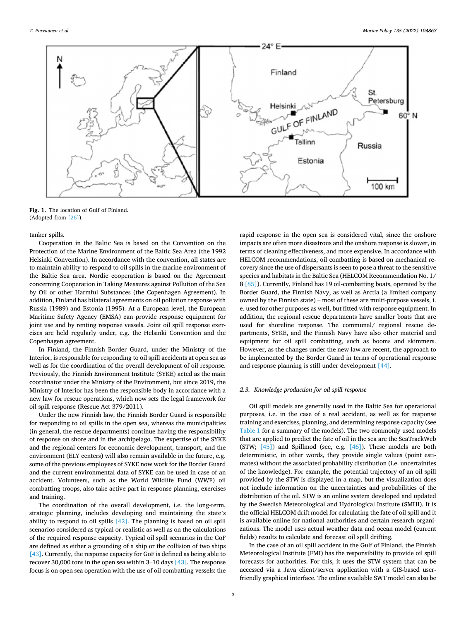<span id="page-3-0"></span>

**Fig. 1.** The location of Gulf of Finland. (Adopted from [\[26\]](#page-11-0)).

tanker spills.

Cooperation in the Baltic Sea is based on the Convention on the Protection of the Marine Environment of the Baltic Sea Area (the 1992 Helsinki Convention). In accordance with the convention, all states are to maintain ability to respond to oil spills in the marine environment of the Baltic Sea area. Nordic cooperation is based on the Agreement concerning Cooperation in Taking Measures against Pollution of the Sea by Oil or other Harmful Substances (the Copenhagen Agreement). In addition, Finland has bilateral agreements on oil pollution response with Russia (1989) and Estonia (1995). At a European level, the European Maritime Safety Agency (EMSA) can provide response equipment for joint use and by renting response vessels. Joint oil spill response exercises are held regularly under, e.g. the Helsinki Convention and the Copenhagen agreement.

In Finland, the Finnish Border Guard, under the Ministry of the Interior, is responsible for responding to oil spill accidents at open sea as well as for the coordination of the overall development of oil response. Previously, the Finnish Environment Institute (SYKE) acted as the main coordinator under the Ministry of the Environment, but since 2019, the Ministry of Interior has been the responsible body in accordance with a new law for rescue operations, which now sets the legal framework for oil spill response (Rescue Act 379/2011).

Under the new Finnish law, the Finnish Border Guard is responsible for responding to oil spills in the open sea, whereas the municipalities (in general, the rescue departments) continue having the responsibility of response on shore and in the archipelago. The expertise of the SYKE and the regional centers for economic development, transport, and the environment (ELY centers) will also remain available in the future, e.g. some of the previous employees of SYKE now work for the Border Guard and the current environmental data of SYKE can be used in case of an accident. Volunteers, such as the World Wildlife Fund (WWF) oil combatting troops, also take active part in response planning, exercises and training.

The coordination of the overall development, i.e. the long-term, strategic planning, includes developing and maintaining the state's ability to respond to oil spills [\[42\].](#page-11-0) The planning is based on oil spill scenarios considered as typical or realistic as well as on the calculations of the required response capacity. Typical oil spill scenarios in the GoF are defned as either a grounding of a ship or the collision of two ships [\[43\]](#page-11-0). Currently, the response capacity for GoF is defined as being able to recover 30,000 tons in the open sea within 3–10 days [\[43\]](#page-11-0). The response focus is on open sea operation with the use of oil combatting vessels: the rapid response in the open sea is considered vital, since the onshore impacts are often more disastrous and the onshore response is slower, in terms of cleaning effectiveness, and more expensive. In accordance with HELCOM recommendations, oil combatting is based on mechanical recovery since the use of dispersants is seen to pose a threat to the sensitive species and habitats in the Baltic Sea (HELCOM Recommendation No. 1/ 8 [\[85\]\)](#page-12-0). Currently, Finland has 19 oil-combatting boats, operated by the Border Guard, the Finnish Navy, as well as Arctia (a limited company owned by the Finnish state) – most of these are multi-purpose vessels, i. e. used for other purposes as well, but fitted with response equipment. In addition, the regional rescue departments have smaller boats that are used for shoreline response. The communal/ regional rescue departments, SYKE, and the Finnish Navy have also other material and equipment for oil spill combatting*,* such as booms and skimmers. However, as the changes under the new law are recent, the approach to be implemented by the Border Guard in terms of operational response and response planning is still under development [\[44\].](#page-12-0)

## *2.3. Knowledge production for oil spill response*

Oil spill models are generally used in the Baltic Sea for operational purposes, i.e. in the case of a real accident, as well as for response training and exercises, planning, and determining response capacity (see [Table 1](#page-4-0) for a summary of the models). The two commonly used models that are applied to predict the fate of oil in the sea are the SeaTrackWeb (STW; [\[45\]](#page-12-0)) and Spillmod (see, e.g. [\[46\]](#page-12-0)). These models are both deterministic, in other words, they provide single values (point estimates) without the associated probability distribution (i.e. uncertainties of the knowledge). For example, the potential trajectory of an oil spill provided by the STW is displayed in a map, but the visualization does not include information on the uncertainties and probabilities of the distribution of the oil. STW is an online system developed and updated by the Swedish Meteorological and Hydrological Institute (SMHI). It is the official HELCOM drift model for calculating the fate of oil spill and it is available online for national authorities and certain research organizations. The model uses actual weather data and ocean model (current felds) results to calculate and forecast oil spill drifting.

In the case of an oil spill accident in the Gulf of Finland, the Finnish Meteorological Institute (FMI) has the responsibility to provide oil spill forecasts for authorities. For this, it uses the STW system that can be accessed via a Java client/server application with a GIS-based userfriendly graphical interface. The online available SWT model can also be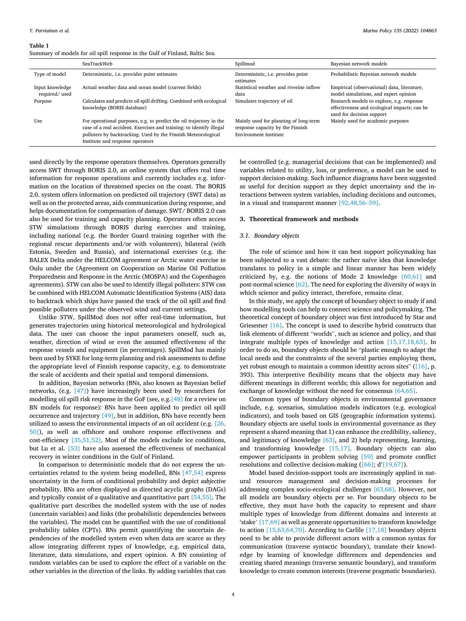#### <span id="page-4-0"></span>**Table 1**

Summary of models for oil spill response in the Gulf of Finland, Baltic Sea.

|                                  | SeaTrackWeb                                                                                                                                                                                                                                      | Spillmod                                                                                                  | Bayesian network models                                                                                                |
|----------------------------------|--------------------------------------------------------------------------------------------------------------------------------------------------------------------------------------------------------------------------------------------------|-----------------------------------------------------------------------------------------------------------|------------------------------------------------------------------------------------------------------------------------|
| Type of model                    | Deterministic, i.e. provides point estimates                                                                                                                                                                                                     | Deterministic, i.e. provides point<br>estimates                                                           | Probabilistic Bayesian network models                                                                                  |
| Input knowledge<br>required/used | Actual weather data and ocean model (current fields)                                                                                                                                                                                             | Statistical weather and riverine inflow<br>data                                                           | Empirical (observational) data, literature,<br>model simulations, and expert opinion                                   |
| Purpose                          | Calculates and predicts oil spill drifting. Combined with ecological<br>knowledge (BORIS database)                                                                                                                                               | Simulates trajectory of oil                                                                               | Research models to explore, e.g. response<br>effectiveness and ecological impacts; can be<br>used for decision support |
| Use                              | For operational purposes, e.g. to predict the oil trajectory in the<br>case of a real accident. Exercises and training; to identify illegal<br>polluters by backtracking. Used by the Finnish Meteorological<br>Institute and response operators | Mainly used for planning of long-term<br>response capacity by the Finnish<br><b>Environment Institute</b> | Mainly used for academic purposes                                                                                      |

used directly by the response operators themselves. Operators generally access SWT through BORIS 2.0, an online system that offers real time information for response operations and currently includes e.g. information on the location of threatened species on the coast. The BORIS 2.0. system offers information on predicted oil trajectory (SWT data) as well as on the protected areas, aids communication during response, and helps documentation for compensation of damage. SWT/ BORIS 2.0 can also be used for training and capacity planning. Operators often access STW simulations through BORIS during exercises and training, including national (e.g. the Border Guard training together with the regional rescue departments and/or with volunteers), bilateral (with Estonia, Sweden and Russia), and international exercises (e.g. the BALEX Delta under the HELCOM agreement or Arctic water exercise in Oulu under the (Agreement on Cooperation on Marine Oil Pollution Preparedness and Response in the Arctic (MOSPA) and the Copenhagen agreements). STW can also be used to identify illegal polluters: STW can be combined with HELCOM Automatic Identifcation Systems (AIS) data to backtrack which ships have passed the track of the oil spill and find possible polluters under the observed wind and current settings.

Unlike STW, SpillMod does not offer real-time information, but generates trajectories using historical meteorological and hydrological data. The user can choose the input parameters oneself, such as, weather, direction of wind or even the assumed effectiveness of the response vessels and equipment (in percentages). SpillMod has mainly been used by SYKE for long-term planning and risk assessments to defne the appropriate level of Finnish response capacity, e.g. to demonstrate the scale of accidents and their spatial and temporal dimensions.

In addition, Bayesian networks (BNs, also known as Bayesian belief networks, (e.g. [\[47\]](#page-12-0)) have increasingly been used by researchers for modelling oil spill risk response in the GoF (see, e.g.[\[48\]](#page-12-0) for a review on BN models for response): BNs have been applied to predict oil spill occurrence and trajectory [\[49\],](#page-12-0) but in addition, BNs have recently been utilized to assess the environmental impacts of an oil accident (e.g. [\[26,](#page-11-0)  [50\]\)](#page-11-0), as well as offshore and onshore response effectiveness and  $cost\text{-}efficiency [35,51,52]$  $cost\text{-}efficiency [35,51,52]$ . Most of the models exclude ice conditions, but Lu et al. [\[53\]](#page-12-0) have also assessed the effectiveness of mechanical recovery in winter conditions in the Gulf of Finland.

In comparison to deterministic models that do not express the uncertainties related to the system being modelled, BNs [\[47,54\]](#page-12-0) express uncertainty in the form of conditional probability and depict *subjective*  probability. BNs are often displayed as directed acyclic graphs (DAGs) and typically consist of a qualitative and quantitative part [\[54,55\].](#page-12-0) The qualitative part describes the modelled system with the use of nodes (uncertain variables) and links (the probabilistic dependencies between the variables). The model can be quantifed with the use of conditional probability tables (CPTs). BNs permit quantifying the uncertain dependencies of the modelled system even when data are scarce as they allow integrating different types of knowledge, e.g. empirical data, literature, data simulations, and expert opinion. A BN consisting of random variables can be used to explore the effect of a variable on the other variables in the direction of the links. By adding variables that can

be controlled (e.g. managerial decisions that can be implemented) and variables related to utility, loss, or preference, a model can be used to support decision-making. Such infuence diagrams have been suggested as useful for decision support as they depict uncertainty and the interactions between system variables, including decisions and outcomes, in a visual and transparent manner [\[92,48,56](#page-12-0)–59].

## **3. Theoretical framework and methods**

## *3.1. Boundary objects*

The role of science and how it can best support policymaking has been subjected to a vast debate: the rather naïve idea that knowledge translates to policy in a simple and linear manner has been widely criticized by, e.g. the notions of Mode 2 knowledge [\[60,61\]](#page-12-0) and post-normal science [\[62\]](#page-12-0). The need for exploring the diversity of ways in which science and policy interact, therefore, remains clear.

In this study, we apply the concept of boundary object to study if and how modelling tools can help to connect science and policymaking. The theoretical concept of boundary object was frst introduced by Star and Griesemer [\[16\].](#page-11-0) The concept is used to describe hybrid constructs that link elements of different "worlds", such as science and policy, and that integrate multiple types of knowledge and action [\[15,17,18,63\]](#page-11-0). In order to do so, boundary objects should be "plastic enough to adapt the local needs and the constraints of the several parties employing them, yet robust enough to maintain a common identity across sites" ([\[16\],](#page-11-0) p. 393). This interpretive fexibility means that the objects may have different meanings in different worlds; this allows for negotiation and exchange of knowledge without the need for consensus [\[64,65\]](#page-12-0).

Common types of boundary objects in environmental governance include, e.g. scenarios, simulation models indicators (e.g. ecological indicators), and tools based on GIS (geographic information systems). Boundary objects are useful tools in environmental governance as they represent a shared meaning that 1) can enhance the credibility, saliency, and legitimacy of knowledge [\[63\]](#page-12-0), and 2) help representing, learning, and transforming knowledge [\[15,17\].](#page-11-0) Boundary objects can also empower participants in problem solving [\[59\]](#page-12-0) and promote confict resolutions and collective decision-making  $([66]; d'[19,67])$  $([66]; d'[19,67])$  $([66]; d'[19,67])$ .

Model based decision-support tools are increasingly applied in natural resources management and decision-making processes for addressing complex socio-ecological challenges [\[63,68\]](#page-12-0). However, not all models are boundary objects per se. For boundary objects to be effective, they must have both the capacity to represent and share multiple types of knowledge from different domains and interests at 'stake' [\[17,69\]](#page-11-0) as well as generate opportunities to transform knowledge to action [\[15,63,64,70\].](#page-11-0) According to Carlile [\[17,18\]](#page-11-0) boundary objects need to be able to provide different actors with a common syntax for communication (traverse syntactic boundary), translate their knowledge by learning of knowledge differences and dependencies and creating shared meanings (traverse semantic boundary), and transform knowledge to create common interests (traverse pragmatic boundaries).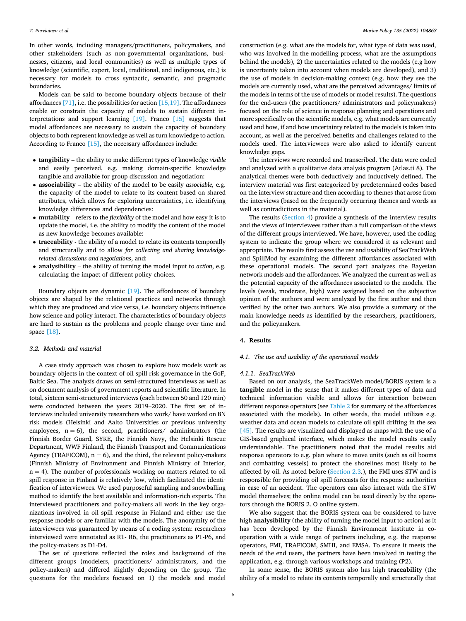<span id="page-5-0"></span>In other words, including managers/practitioners, policymakers, and other stakeholders (such as non-governmental organizations, businesses, citizens, and local communities) as well as multiple types of knowledge (scientifc, expert, local, traditional, and indigenous, etc.) is necessary for models to cross syntactic, semantic, and pragmatic boundaries.

Models can be said to become boundary objects because of their affordances  $[71]$ , i.e. the possibilities for action  $[15,19]$ . The affordances enable or constrain the capacity of models to sustain different interpretations and support learning [\[19\]](#page-11-0). Franco [\[15\]](#page-11-0) suggests that model affordances are necessary to sustain the capacity of boundary objects to both represent knowledge as well as turn knowledge to action. According to Franco [\[15\]](#page-11-0), the necessary affordances include:

- **tangibility**  the ability to make different types of knowledge *visible*  and easily perceived, e.g. making domain-specifc knowledge tangible and available for group discussion and negotiation:
- **associability**  the ability of the model to be easily *associable,* e.g. the capacity of the model to relate to its content based on shared attributes, which allows for exploring uncertainties, i.e. identifying knowledge differences and dependencies:
- **mutability**  refers to the *fexibility* of the model and how easy it is to update the model, i.e. the ability to modify the content of the model as new knowledge becomes available:
- **traceability**  the ability of a model to relate its contents temporally and structurally and to allow *for collecting and sharing knowledgerelated discussions and negotiations*, and:
- **analysibility**  the ability of turning the model input to *action*, e.g. calculating the impact of different policy choices.

Boundary objects are dynamic [\[19\].](#page-11-0) The affordances of boundary objects are shaped by the relational practices and networks through which they are produced and vice versa, i.e. boundary objects infuence how science and policy interact. The characteristics of boundary objects are hard to sustain as the problems and people change over time and space [\[18\]](#page-11-0).

#### *3.2. Methods and material*

A case study approach was chosen to explore how models work as boundary objects in the context of oil spill risk governance in the GoF, Baltic Sea. The analysis draws on semi-structured interviews as well as on document analysis of government reports and scientifc literature. In total, sixteen semi-structured interviews (each between 50 and 120 min) were conducted between the years 2019–2020. The first set of interviews included university researchers who work/ have worked on BN risk models (Helsinki and Aalto Universities or previous university employees,  $n = 6$ ), the second, practitioners/ administrators (the Finnish Border Guard, SYKE, the Finnish Navy, the Helsinki Rescue Department, WWF Finland, the Finnish Transport and Communications Agency (TRAFICOM),  $n = 6$ ), and the third, the relevant policy-makers (Finnish Ministry of Environment and Finnish Ministry of Interior,  $n = 4$ ). The number of professionals working on matters related to oil spill response in Finland is relatively low, which facilitated the identification of interviewees. We used purposeful sampling and snowballing method to identify the best available and information-rich experts. The interviewed practitioners and policy-makers all work in the key organizations involved in oil spill response in Finland and either use the response models or are familiar with the models. The anonymity of the interviewees was guaranteed by means of a coding system: researchers interviewed were annotated as R1- R6, the practitioners as P1-P6, and the policy-makers as D1-D4.

The set of questions refected the roles and background of the different groups (modelers, practitioners/ administrators, and the policy-makers) and differed slightly depending on the group. The questions for the modelers focused on 1) the models and model

construction (e.g. what are the models for, what type of data was used, who was involved in the modelling process, what are the assumptions behind the models), 2) the uncertainties related to the models (e.g how is uncertainty taken into account when models are developed), and 3) the use of models in decision-making context (e.g. how they see the models are currently used, what are the perceived advantages/ limits of the models in terms of the use of models or model results). The questions for the end-users (the practitioners/ administrators and policymakers) focused on the role of science in response planning and operations and more specifcally on the scientifc models, e.g. what models are currently used and how, if and how uncertainty related to the models is taken into account, as well as the perceived benefts and challenges related to the models used. The interviewees were also asked to identify current knowledge gaps.

The interviews were recorded and transcribed. The data were coded and analyzed with a qualitative data analysis program (Atlas.ti 8). The analytical themes were both deductively and inductively defned. The interview material was frst categorized by predetermined codes based on the interview structure and then according to themes that arose from the interviews (based on the frequently occurring themes and words as well as contradictions in the material).

The results (Section 4) provide a synthesis of the interview results and the views of interviewees rather than a full comparison of the views of the different groups interviewed. We have, however, used the coding system to indicate the group where we considered it as relevant and appropriate. The results first assess the use and usability of SeaTrackWeb and SpillMod by examining the different affordances associated with these operational models. The second part analyzes the Bayesian network models and the affordances. We analyzed the current as well as the potential capacity of the affordances associated to the models. The levels (weak, moderate, high) were assigned based on the subjective opinion of the authors and were analyzed by the frst author and then verifed by the other two authors. We also provide a summary of the main knowledge needs as identifed by the researchers, practitioners, and the policymakers.

### **4. Results**

## *4.1. The use and usability of the operational models*

## *4.1.1. SeaTrackWeb*

Based on our analysis, the SeaTrackWeb model/BORIS system is a **tangible** model in the sense that it makes different types of data and technical information visible and allows for interaction between different response operators (see [Table 2](#page-6-0) for summary of the affordances associated with the models). In other words, the model utilizes e.g. weather data and ocean models to calculate oil spill drifting in the sea [\[45\]](#page-12-0). The results are visualized and displayed as maps with the use of a GIS-based graphical interface, which makes the model results easily understandable. The practitioners noted that the model results aid response operators to e.g. plan where to move units (such as oil booms and combatting vessels) to protect the shorelines most likely to be affected by oil. As noted before [\(Section 2.3](#page-3-0).), the FMI uses STW and is responsible for providing oil spill forecasts for the response authorities in case of an accident. The operators can also interact with the STW model themselves; the online model can be used directly by the operators through the BORIS 2. O online system.

We also suggest that the BORIS system can be considered to have high **analysibility** (the ability of turning the model input to action) as it has been developed by the Finnish Environment Institute in cooperation with a wide range of partners including, e.g. the response operators, FMI, TRAFICOM, SMHI, and EMSA. To ensure it meets the needs of the end users, the partners have been involved in testing the application, e.g. through various workshops and training (P2).

In some sense, the BORIS system also has high **traceability** (the ability of a model to relate its contents temporally and structurally that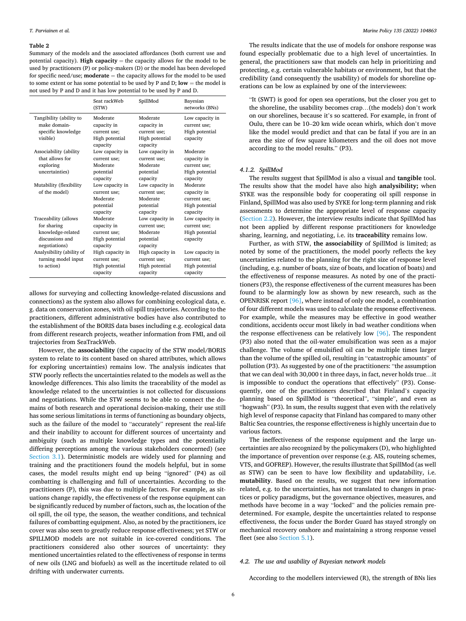#### <span id="page-6-0"></span>**Table 2**

Summary of the models and the associated affordances (both current use and potential capacity). **High capacity** = the capacity allows for the model to be used by practitioners (P) or policy-makers (D) or the model has been developed for specifc need/use; **moderate** = the capacity allows for the model to be used to some extent or has some potential to be used by P and D;  $low =$  the model is not used by P and D and it has low potential to be used by P and D.

|                                         | Seat rackWeb<br>(STW)                      | SpillMod                                   | Bayesian<br>networks (BNs)      |
|-----------------------------------------|--------------------------------------------|--------------------------------------------|---------------------------------|
| Tangibility (ability to<br>make domain- | Moderate<br>capacity in                    | Moderate<br>capacity in                    | Low capacity in<br>current use; |
| specific knowledge<br>visible)          | current use;<br>High potential<br>capacity | current use;<br>High potential<br>capacity | High potential<br>capacity      |
| Associability (ability                  | Low capacity in                            | Low capacity in                            | Moderate                        |
| that allows for                         | current use;                               | current use;                               | capacity in                     |
| exploring                               | Moderate                                   | Moderate                                   | current use;                    |
| uncertainties)                          | potential                                  | potential                                  | High potential                  |
|                                         | capacity                                   | capacity                                   | capacity                        |
| Mutability (flexibility                 | Low capacity in                            | Low capacity in                            | Moderate                        |
| of the model)                           | current use:                               | current use:                               | capacity in                     |
|                                         | Moderate                                   | Moderate                                   | current use;                    |
|                                         | potential                                  | potential                                  | High potential                  |
|                                         | capacity                                   | capacity                                   | capacity                        |
| Traceability (allows                    | Moderate                                   | Low capacity in                            | Low capacity in                 |
| for sharing                             | capacity in                                | current use:                               | current use;                    |
| knowledge-related                       | current use;                               | Moderate                                   | High potential                  |
| discussions and                         | High potential                             | potential                                  | capacity                        |
| negotiations)                           | capacity                                   | capacity                                   |                                 |
| Analysibility (ability of               | High capacity in                           | High capacity in                           | Low capacity in                 |
| turning model input                     | current use;                               | current use;                               | current use;                    |
| to action)                              | High potential                             | High potential                             | High potential                  |
|                                         | capacity                                   | capacity                                   | capacity                        |

allows for surveying and collecting knowledge-related discussions and connections) as the system also allows for combining ecological data, e. g. data on conservation zones, with oil spill trajectories. According to the practitioners, different administrative bodies have also contributed to the establishment of the BORIS data bases including e.g. ecological data from different research projects, weather information from FMI, and oil trajectories from SeaTrackWeb.

However, the **associability** (the capacity of the STW model/BORIS system to relate to its content based on shared attributes, which allows for exploring uncertainties) remains low. The analysis indicates that STW poorly refects the uncertainties related to the models as well as the knowledge differences. This also limits the traceability of the model as knowledge related to the uncertainties is not collected for discussions and negotiations. While the STW seems to be able to connect the domains of both research and operational decision-making, their use still has some serious limitations in terms of functioning as boundary objects, such as the failure of the model to "accurately" represent the real-life and their inability to account for different sources of uncertainty and ambiguity (such as multiple knowledge types and the potentially differing perceptions among the various stakeholders concerned) (see [Section 3.1](#page-4-0)). Deterministic models are widely used for planning and training and the practitioners found the models helpful, but in some cases, the model results might end up being "ignored" (P4) as oil combatting is challenging and full of uncertainties. According to the practitioners (P), this was due to multiple factors. For example, as situations change rapidly, the effectiveness of the response equipment can be signifcantly reduced by number of factors, such as, the location of the oil spill, the oil type, the season, the weather conditions, and technical failures of combatting equipment. Also, as noted by the practitioners, ice cover was also seen to greatly reduce response effectiveness; yet STW or SPILLMOD models are not suitable in ice-covered conditions. The practitioners considered also other sources of uncertainty: they mentioned uncertainties related to the effectiveness of response in terms of new oils (LNG and biofuels) as well as the incertitude related to oil drifting with underwater currents.

The results indicate that the use of models for onshore response was found especially problematic due to a high level of uncertainties. In general, the practitioners saw that models can help in prioritizing and protecting, e.g. certain vulnerable habitats or environment, but that the credibility (and consequently the usability) of models for shoreline operations can be low as explained by one of the interviewees:

"It (SWT) is good for open sea operations, but the closer you get to the shoreline, the usability becomes crap…(the models) don't work on our shorelines, because it's so scattered. For example, in front of Oulu, there can be 10–20 km wide ocean whirls, which don't move like the model would predict and that can be fatal if you are in an area the size of few square kilometers and the oil does not move according to the model results." (P3).

## *4.1.2. SpillMod*

The results suggest that SpillMod is also a visual and **tangible** tool. The results show that the model have also high **analysibility;** when SYKE was the responsible body for cooperating oil spill response in Finland, SpillMod was also used by SYKE for long-term planning and risk assessments to determine the appropriate level of response capacity ([Section 2.2\)](#page-2-0). However, the interview results indicate that SpillMod has not been applied by different response practitioners for knowledge sharing, learning, and negotiating, i.e. its **traceability** remains low.

Further, as with STW, **the associability** of SpillMod is limited; as noted by some of the practitioners, the model poorly reflects the key uncertainties related to the planning for the right size of response level (including, e.g. number of boats, size of boats, and location of boats) and the effectiveness of response measures. As noted by one of the practitioners (P3), the response effectiveness of the current measures has been found to be alarmingly low as shown by new research, such as the OPENRISK report [\[96\],](#page-12-0) where instead of only one model, a combination of four different models was used to calculate the response effectiveness. For example, while the measures may be effective in good weather conditions, accidents occur most likely in bad weather conditions when the response effectiveness can be relatively low [\[96\].](#page-12-0) The respondent (P3) also noted that the oil-water emulsifcation was seen as a major challenge. The volume of emulsifed oil can be multiple times larger than the volume of the spilled oil, resulting in "catastrophic amounts" of pollution (P3). As suggested by one of the practitioners: "the assumption that we can deal with 30,000 t in three days, in fact, never holds true…it is impossible to conduct the operations that effectively" (P3). Consequently, one of the practitioners described that Finland's capacity planning based on SpillMod is "theoretical", "simple", and even as "hogwash" (P3). In sum, the results suggest that even with the relatively high level of response capacity that Finland has compared to many other Baltic Sea countries, the response effectiveness is highly uncertain due to various factors.

The ineffectiveness of the response equipment and the large uncertainties are also recognized by the policymakers (D), who highlighted the importance of prevention over response (e.g. AIS, routeing schemes, VTS, and GOFREP). However, the results illustrate that SpillMod (as well as STW) can be seen to have low fexibility and updatability, i.e. **mutability**. Based on the results, we suggest that new information related, e.g. to the uncertainties, has not translated to changes in practices or policy paradigms, but the governance objectives, measures, and methods have become in a way "locked" and the policies remain predetermined. For example, despite the uncertainties related to response effectiveness, the focus under the Border Guard has stayed strongly on mechanical recovery onshore and maintaining a strong response vessel fleet (see also [Section 5.1\)](#page-8-0).

## *4.2. The use and usability of Bayesian network models*

According to the modellers interviewed (R), the strength of BNs lies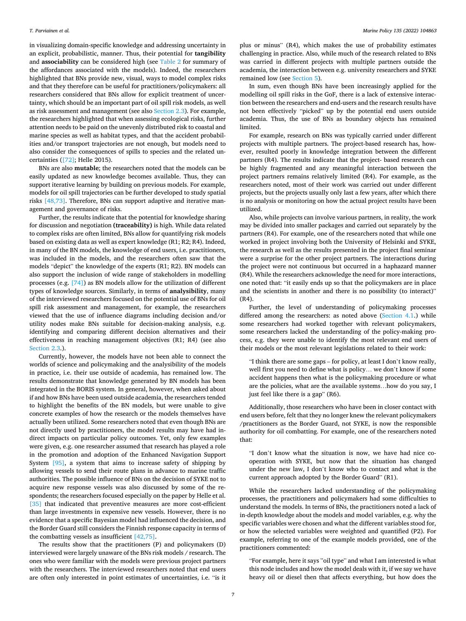in visualizing domain-specifc knowledge and addressing uncertainty in an explicit, probabilistic, manner. Thus, their potential for **tangibility**  and **associability** can be considered high (see [Table 2](#page-6-0) for summary of the affordances associated with the models). Indeed, the researchers highlighted that BNs provide new, visual, ways to model complex risks and that they therefore can be useful for practitioners/policymakers: all researchers considered that BNs allow for explicit treatment of uncertainty, which should be an important part of oil spill risk models, as well as risk assessment and management (see also [Section 2.3\)](#page-3-0). For example, the researchers highlighted that when assessing ecological risks, further attention needs to be paid on the unevenly distributed risk to coastal and marine species as well as habitat types, and that the accident probabilities and/or transport trajectories are not enough, but models need to also consider the consequences of spills to species and the related uncertainties ([\[72\]](#page-12-0); Helle 2015).

BNs are also **mutable**; the researchers noted that the models can be easily updated as new knowledge becomes available. Thus, they can support iterative learning by building on previous models. For example, models for oil spill trajectories can be further developed to study spatial risks [\[48,73\].](#page-12-0) Therefore, BNs can support adaptive and iterative management and governance of risks.

Further, the results indicate that the potential for knowledge sharing for discussion and negotiation **(traceability)** is high. While data related to complex risks are often limited, BNs allow for quantifying risk models based on existing data as well as expert knowledge (R1; R2; R4). Indeed, in many of the BN models, the knowledge of end users, i.e. practitioners, was included in the models, and the researchers often saw that the models "depict" the knowledge of the experts (R1; R2). BN models can also support the inclusion of wide range of stakeholders in modelling processes (e.g. [\[74\]\)](#page-12-0) as BN models allow for the utilization of different types of knowledge sources. Similarly, in terms of **analysibility**, many of the interviewed researchers focused on the potential use of BNs for oil spill risk assessment and management, for example, the researchers viewed that the use of infuence diagrams including decision and/or utility nodes make BNs suitable for decision-making analysis, e.g. identifying and comparing different decision alternatives and their effectiveness in reaching management objectives (R1; R4) (see also [Section 2.3.](#page-3-0)).

Currently, however, the models have not been able to connect the worlds of science and policymaking and the analysibility of the models in practice, i.e. their use outside of academia, has remained low. The results demonstrate that knowledge generated by BN models has been integrated in the BORIS system. In general, however, when asked about if and how BNs have been used outside academia, the researchers tended to highlight the benefts of the BN models, but were unable to give concrete examples of how the research or the models themselves have actually been utilized. Some researchers noted that even though BNs are not directly used by practitioners, the model results may have had indirect impacts on particular policy outcomes. Yet, only few examples were given, e.g. one researcher assumed that research has played a role in the promotion and adoption of the Enhanced Navigation Support System [\[95\],](#page-12-0) a system that aims to increase safety of shipping by allowing vessels to send their route plans in advance to marine traffic authorities. The possible infuence of BNs on the decision of SYKE not to acquire new response vessels was also discussed by some of the respondents; the researchers focused especially on the paper by Helle et al. [\[35\]](#page-11-0) that indicated that preventive measures are more cost-efficient than large investments in expensive new vessels. However, there is no evidence that a specifc Bayesian model had infuenced the decision, and the Border Guard still considers the Finnish response capacity in terms of the combatting vessels as insufficient  $[42,75]$ .

The results show that the practitioners (P) and policymakers (D) interviewed were largely unaware of the BNs risk models / research. The ones who were familiar with the models were previous project partners with the researchers. The interviewed researchers noted that end users are often only interested in point estimates of uncertainties, i.e. "is it plus or minus" (R4), which makes the use of probability estimates challenging in practice. Also, while much of the research related to BNs was carried in different projects with multiple partners outside the academia, the interaction between e.g. university researchers and SYKE remained low (see [Section 5\)](#page-8-0).

In sum, even though BNs have been increasingly applied for the modelling oil spill risks in the GoF, there is a lack of extensive interaction between the researchers and end-users and the research results have not been effectively "picked" up by the potential end users outside academia. Thus, the use of BNs as boundary objects has remained limited.

For example, research on BNs was typically carried under different projects with multiple partners. The project-based research has, however, resulted poorly in knowledge integration between the different partners (R4). The results indicate that the project- based research can be highly fragmented and any meaningful interaction between the project partners remains relatively limited (R4). For example, as the researchers noted, most of their work was carried out under different projects, but the projects usually only last a few years, after which there is no analysis or monitoring on how the actual project results have been utilized.

Also, while projects can involve various partners, in reality, the work may be divided into smaller packages and carried out separately by the partners (R4). For example, one of the researchers noted that while one worked in project involving both the University of Helsinki and SYKE, the research as well as the results presented in the project fnal seminar were a surprise for the other project partners. The interactions during the project were not continuous but occurred in a haphazard manner (R4). While the researchers acknowledge the need for more interactions, one noted that: "it easily ends up so that the policymakers are in place and the scientists in another and there is no possibility (to interact)" (R4).

Further, the level of understanding of policymaking processes differed among the researchers: as noted above [\(Section 4.1](#page-5-0).) while some researchers had worked together with relevant policymakers, some researchers lacked the understanding of the policy-making process, e.g. they were unable to identify the most relevant end users of their models or the most relevant legislations related to their work:

"I think there are some gaps – for policy, at least I don't know really, well first you need to define what is policy... we don't know if some accident happens then what is the policymaking procedure or what are the policies, what are the available systems…how do you say, I just feel like there is a gap" (R6).

Additionally, those researchers who have been in closer contact with end users before, felt that they no longer knew the relevant policymakers /practitioners as the Border Guard, not SYKE, is now the responsible authority for oil combatting. For example, one of the researchers noted that:

"I don't know what the situation is now, we have had nice cooperation with SYKE, but now that the situation has changed under the new law, I don't know who to contact and what is the current approach adopted by the Border Guard" (R1).

While the researchers lacked understanding of the policymaking processes, the practitioners and policymakers had some difficulties to understand the models. In terms of BNs, the practitioners noted a lack of in-depth knowledge about the models and model variables, e.g. why the specific variables were chosen and what the different variables stood for, or how the selected variables were weighted and quantifed (P2). For example, referring to one of the example models provided, one of the practitioners commented:

"For example, here it says "oil type" and what I am interested is what this node includes and how the model deals with it, if we say we have heavy oil or diesel then that affects everything, but how does the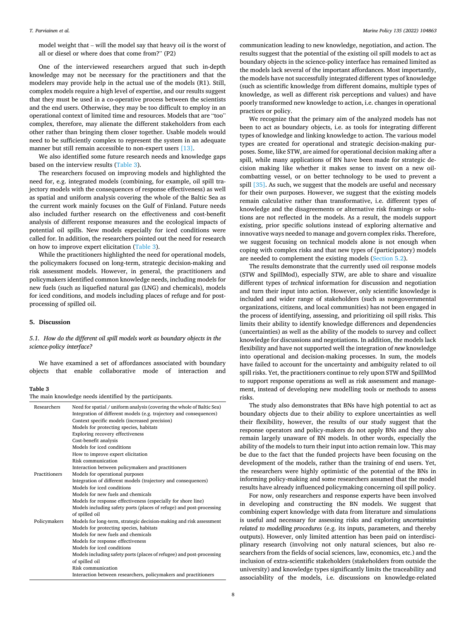<span id="page-8-0"></span>model weight that – will the model say that heavy oil is the worst of all or diesel or where does that come from?" (P2)

One of the interviewed researchers argued that such in-depth knowledge may not be necessary for the practitioners and that the modelers may provide help in the actual use of the models (R1). Still, complex models require a high level of expertise, and our results suggest that they must be used in a co-operative process between the scientists and the end users. Otherwise, they may be too diffcult to employ in an operational context of limited time and resources. Models that are "too" complex, therefore, may alienate the different stakeholders from each other rather than bringing them closer together. Usable models would need to be sufficiently complex to represent the system in an adequate manner but still remain accessible to non-expert users [\[13\].](#page-11-0)

We also identifed some future research needs and knowledge gaps based on the interview results (Table 3).

The researchers focused on improving models and highlighted the need for, e.g. integrated models (combining, for example, oil spill trajectory models with the consequences of response effectiveness) as well as spatial and uniform analysis covering the whole of the Baltic Sea as the current work mainly focuses on the Gulf of Finland. Future needs also included further research on the effectiveness and cost-beneft analysis of different response measures and the ecological impacts of potential oil spills. New models especially for iced conditions were called for. In addition, the researchers pointed out the need for research on how to improve expert elicitation (Table 3).

While the practitioners highlighted the need for operational models, the policymakers focused on long-term, strategic decision-making and risk assessment models. However, in general, the practitioners and policymakers identifed common knowledge needs, including models for new fuels (such as liquefed natural gas (LNG) and chemicals), models for iced conditions, and models including places of refuge and for postprocessing of spilled oil.

#### **5. Discussion**

## *5.1. How do the different oil spill models work as boundary objects in the science-policy interface?*

We have examined a set of affordances associated with boundary objects that enable collaborative mode of interaction and

#### **Table 3**

|  |  |  | The main knowledge needs identified by the participants. |  |  |  |  |  |
|--|--|--|----------------------------------------------------------|--|--|--|--|--|
|--|--|--|----------------------------------------------------------|--|--|--|--|--|

| Researchers   | Need for spatial / uniform analysis (covering the whole of Baltic Sea) |
|---------------|------------------------------------------------------------------------|
|               | Integration of different models (e.g. trajectory and consequences)     |
|               | Context specific models (increased precision)                          |
|               | Models for protecting species, habitats                                |
|               | Exploring recovery effectiveness                                       |
|               | Cost-benefit analysis                                                  |
|               | Models for iced conditions                                             |
|               | How to improve expert elicitation                                      |
|               | Risk communication                                                     |
|               | Interaction between policymakers and practitioners                     |
| Practitioners | Models for operational purposes                                        |
|               | Integration of different models (trajectory and consequences)          |
|               | Models for iced conditions                                             |
|               | Models for new fuels and chemicals                                     |
|               | Models for response effectiveness (especially for shore line)          |
|               | Models including safety ports (places of refuge) and post-processing   |
|               | of spilled oil                                                         |
| Policymakers  | Models for long-term, strategic decision-making and risk assessment    |
|               | Models for protecting species, habitats                                |
|               | Models for new fuels and chemicals                                     |
|               | Models for response effectiveness                                      |
|               | Models for iced conditions                                             |
|               | Models including safety ports (places of refugee) and post-processing  |
|               | of spilled oil                                                         |
|               | Risk communication                                                     |
|               | Interaction between researchers, policymakers and practitioners        |

communication leading to new knowledge, negotiation, and action. The results suggest that the potential of the existing oil spill models to act as boundary objects in the science-policy interface has remained limited as the models lack several of the important affordances. Most importantly, the models have not successfully integrated different types of knowledge (such as scientifc knowledge from different domains, multiple types of knowledge, as well as different risk perceptions and values) and have poorly transformed new knowledge to action, i.e. changes in operational practices or policy.

We recognize that the primary aim of the analyzed models has not been to act as boundary objects, i.e. as tools for integrating different types of knowledge and linking knowledge to action. The various model types are created for operational and strategic decision-making purposes. Some, like STW, are aimed for operational decision making after a spill, while many applications of BN have been made for strategic decision making like whether it makes sense to invest on a new oilcombatting vessel, or on better technology to be used to prevent a spill [\[35\]](#page-11-0). As such, we suggest that the models are useful and necessary for their own purposes. However, we suggest that the existing models remain calculative rather than transformative, i.e. different types of knowledge and the disagreements or alternative risk framings or solutions are not refected in the models. As a result, the models support existing, prior specific solutions instead of exploring alternative and innovative ways needed to manage and govern complex risks. Therefore, we suggest focusing on technical models alone is not enough when coping with complex risks and that new types of (participatory) models are needed to complement the existing models ([Section 5.2](#page-9-0)).

The results demonstrate that the currently used oil response models (STW and SpillMod), especially STW, are able to share and visualize different types of *technical* information for discussion and negotiation and turn their input into action. However, only scientifc knowledge is included and wider range of stakeholders (such as nongovernmental organizations, citizens, and local communities) has not been engaged in the process of identifying, assessing, and prioritizing oil spill risks. This limits their ability to identify knowledge differences and dependencies (uncertainties) as well as the ability of the models to survey and collect knowledge for discussions and negotiations. In addition, the models lack fexibility and have not supported well the integration of *new* knowledge into operational and decision-making processes. In sum, the models have failed to account for the uncertainty and ambiguity related to oil spill risks. Yet, the practitioners continue to rely upon STW and SpillMod to support response operations as well as risk assessment and management, instead of developing new modelling tools or methods to assess risks.

The study also demonstrates that BNs have high potential to act as boundary objects due to their ability to explore uncertainties as well their fexibility, however, the results of our study suggest that the response operators and policy-makers do not apply BNs and they also remain largely unaware of BN models. In other words, especially the ability of the models to turn their input into action remain low. This may be due to the fact that the funded projects have been focusing on the development of the models, rather than the training of end users. Yet, the researchers were highly optimistic of the potential of the BNs in informing policy-making and some researchers assumed that the model results have already infuenced policymaking concerning oil spill policy.

For now, only researchers and response experts have been involved in developing and constructing the BN models. We suggest that combining expert knowledge with data from literature and simulations is useful and necessary for assessing risks and exploring *uncertainties related to modelling procedures* (e.g. its inputs, parameters, and thereby outputs). However, only limited attention has been paid on interdisciplinary research (involving not only natural sciences, but also researchers from the felds of social sciences, law, economics, etc.) and the inclusion of extra-scientific stakeholders (stakeholders from outside the university) and knowledge types signifcantly limits the traceability and associability of the models, i.e. discussions on knowledge-related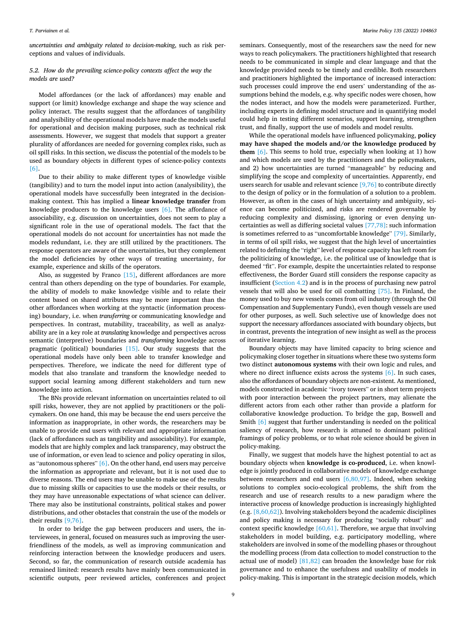*Marine Policy 135 (2022) 104863*

<span id="page-9-0"></span>*uncertainties and ambiguity related to decision-making*, such as risk perceptions and values of individuals.

## *5.2. How do the prevailing science-policy contexts affect the way the models are used?*

Model affordances (or the lack of affordances) may enable and support (or limit) knowledge exchange and shape the way science and policy interact. The results suggest that the affordances of tangibility and analysibility of the operational models have made the models useful for operational and decision making purposes, such as technical risk assessments. However, we suggest that models that support a greater plurality of affordances are needed for governing complex risks, such as oil spill risks. In this section, we discuss the potential of the models to be used as boundary objects in different types of science-policy contexts [\[6\].](#page-11-0)

Due to their ability to make different types of knowledge visible (tangibility) and to turn the model input into action (analysibility), the operational models have successfully been integrated in the decisionmaking context. This has implied a **linear knowledge transfer** from knowledge producers to the knowledge users [\[6\].](#page-11-0) The affordance of associability, e.g. discussion on uncertainties, does not seem to play a signifcant role in the use of operational models. The fact that the operational models do not account for uncertainties has not made the models redundant, i.e. they are still utilized by the practitioners. The response operators are aware of the uncertainties, but they complement the model defciencies by other ways of treating uncertainty, for example, experience and skills of the operators.

Also, as suggested by Franco [\[15\]](#page-11-0), different affordances are more central than others depending on the type of boundaries. For example, the ability of models to make knowledge visible and to relate their content based on shared attributes may be more important than the other affordances when working at the syntactic (information processing) boundary, i.e. when *transferring* or communicating knowledge and perspectives. In contrast, mutability, traceability, as well as analyzability are in a key role at *translating* knowledge and perspectives across semantic (interpretive) boundaries and *transforming* knowledge across pragmatic (political) boundaries [\[15\]](#page-11-0). Our study suggests that the operational models have only been able to transfer knowledge and perspectives. Therefore, we indicate the need for different type of models that also translate and transform the knowledge needed to support social learning among different stakeholders and turn new knowledge into action.

The BNs provide relevant information on uncertainties related to oil spill risks, however, they are not applied by practitioners or the policymakers. On one hand, this may be because the end users perceive the information as inappropriate, in other words, the researchers may be unable to provide end users with relevant and appropriate information (lack of affordances such as tangibility and associability). For example, models that are highly complex and lack transparency, may obstruct the use of information, or even lead to science and policy operating in silos, as "autonomous spheres" [\[6\].](#page-11-0) On the other hand, end users may perceive the information as appropriate and relevant, but it is not used due to diverse reasons. The end users may be unable to make use of the results due to missing skills or capacities to use the models or their results, or they may have unreasonable expectations of what science can deliver. There may also be institutional constraints, political stakes and power distributions, and other obstacles that constrain the use of the models or their results [\[9,76\].](#page-11-0)

In order to bridge the gap between producers and users, the interviewees, in general, focused on measures such as improving the userfriendliness of the models, as well as improving communication and reinforcing interaction between the knowledge producers and users. Second, so far, the communication of research outside academia has remained limited: research results have mainly been communicated in scientifc outputs, peer reviewed articles, conferences and project

seminars. Consequently, most of the researchers saw the need for new ways to reach policymakers. The practitioners highlighted that research needs to be communicated in simple and clear language and that the knowledge provided needs to be timely and credible. Both researchers and practitioners highlighted the importance of increased interaction: such processes could improve the end users' understanding of the assumptions behind the models, e.g. why specific nodes were chosen, how the nodes interact, and how the models were parameterized. Further, including experts in defining model structure and in quantifying model could help in testing different scenarios, support learning, strengthen trust, and finally, support the use of models and model results.

While the operational models have infuenced policymaking, **policy may have shaped the models and/or the knowledge produced by them** [\[6\]](#page-11-0). This seems to hold true, especially when looking at 1) how and which models are used by the practitioners and the policymakers, and 2) how uncertainties are turned "manageable" by reducing and simplifying the scope and complexity of uncertainties. Apparently, end users search for usable and relevant science [\[9,76\]](#page-11-0) to contribute directly to the design of policy or in the formulation of a solution to a problem. However, as often in the cases of high uncertainty and ambiguity, science can become politicized, and risks are rendered governable by reducing complexity and dismissing, ignoring or even denying uncertainties as well as differing societal values [\[77,78\]](#page-12-0): such information is sometimes referred to as "uncomfortable knowledge" [\[79\]](#page-12-0). Similarly, in terms of oil spill risks, we suggest that the high level of uncertainties related to defning the "right" level of response capacity has left room for the politicizing of knowledge, i.e. the political use of knowledge that is deemed "ft". For example, despite the uncertainties related to response effectiveness, the Border Guard still considers the response capacity as insufficient [\(Section 4.2\)](#page-6-0) and is in the process of purchasing new patrol vessels that will also be used for oil combatting [\[75\].](#page-12-0) In Finland, the money used to buy new vessels comes from oil industry (through the Oil Compensation and Supplementary Funds), even though vessels are used for other purposes, as well. Such selective use of knowledge does not support the necessary affordances associated with boundary objects, but in contrast, prevents the integration of new insight as well as the process of iterative learning.

Boundary objects may have limited capacity to bring science and policymaking closer together in situations where these two systems form two distinct **autonomous systems** with their own logic and rules, and where no direct influence exists across the systems [\[6\]](#page-11-0). In such cases, also the affordances of boundary objects are non-existent. As mentioned, models constructed in academic "ivory towers" or in short term projects with poor interaction between the project partners, may alienate the different actors from each other rather than provide a platform for collaborative knowledge production. To bridge the gap, Boswell and Smith [\[6\]](#page-11-0) suggest that further understanding is needed on the political saliency of research, how research is attuned to dominant political framings of policy problems, or to what role science should be given in policy-making.

Finally, we suggest that models have the highest potential to act as boundary objects when **knowledge is co-produced**, i.e. when knowledge is jointly produced in collaborative models of knowledge exchange between researchers and end users [\[6,80,97\]](#page-11-0). Indeed, when seeking solutions to complex socio-ecological problems, the shift from the research and use of research results to a new paradigm where the interactive process of knowledge production is increasingly highlighted (e.g. [\[8,60,62\]\)](#page-11-0). Involving stakeholders beyond the academic disciplines and policy making is necessary for producing "socially robust" and context specific knowledge  $[60,61]$ . Therefore, we argue that involving stakeholders in model building, e.g. participatory modelling, where stakeholders are involved in some of the modelling phases or throughout the modelling process (from data collection to model construction to the actual use of model)  $[81,82]$  can broaden the knowledge base for risk governance and to enhance the usefulness and usability of models in policy-making. This is important in the strategic decision models, which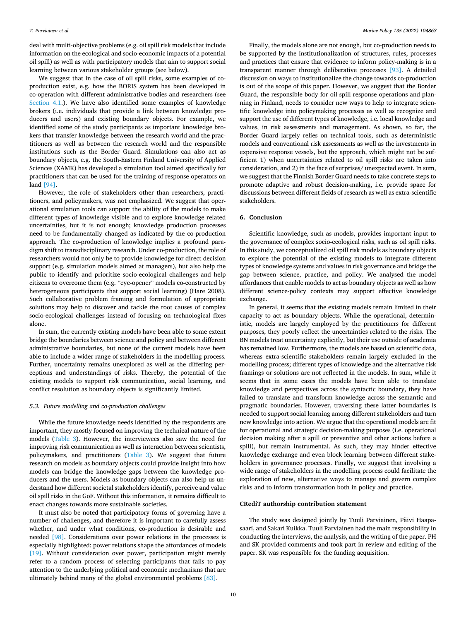<span id="page-10-0"></span>deal with multi-objective problems (e.g. oil spill risk models that include information on the ecological and socio-economic impacts of a potential oil spill) as well as with participatory models that aim to support social learning between various stakeholder groups (see below).

We suggest that in the case of oil spill risks, some examples of coproduction exist, e.g. how the BORIS system has been developed in co-operation with different administrative bodies and researchers (see [Section 4.1](#page-5-0).). We have also identifed some examples of knowledge brokers (i.e. individuals that provide a link between knowledge producers and users) and existing boundary objects. For example, we identifed some of the study participants as important knowledge brokers that transfer knowledge between the research world and the practitioners as well as between the research world and the responsible institutions such as the Border Guard. Simulations can also act as boundary objects, e.g. the South-Eastern Finland University of Applied Sciences (XAMK) has developed a simulation tool aimed specifcally for practitioners that can be used for the training of response operators on land [\[94\]](#page-12-0).

However, the role of stakeholders other than researchers, practitioners, and policymakers, was not emphasized. We suggest that operational simulation tools can support the ability of the models to make different types of knowledge visible and to explore knowledge related uncertainties, but it is not enough; knowledge production processes need to be fundamentally changed as indicated by the co-production approach. The co-production of knowledge implies a profound paradigm shift to transdisciplinary research. Under co-production, the role of researchers would not only be to provide knowledge for direct decision support (e.g. simulation models aimed at managers), but also help the public to identify and prioritize socio-ecological challenges and help citizens to overcome them (e.g. "eye-opener" models co-constructed by heterogeneous participants that support social learning) (Hare 2008). Such collaborative problem framing and formulation of appropriate solutions may help to discover and tackle the root causes of complex socio-ecological challenges instead of focusing on technological fxes alone.

In sum, the currently existing models have been able to some extent bridge the boundaries between science and policy and between different administrative boundaries, but none of the current models have been able to include a wider range of stakeholders in the modelling process. Further, uncertainty remains unexplored as well as the differing perceptions and understandings of risks. Thereby, the potential of the existing models to support risk communication, social learning, and confict resolution as boundary objects is signifcantly limited.

## *5.3. Future modelling and co-production challenges*

While the future knowledge needs identifed by the respondents are important, they mostly focused on improving the technical nature of the models ([Table 3](#page-8-0)). However, the interviewees also saw the need for improving risk communication as well as interaction between scientists, policymakers, and practitioners [\(Table 3](#page-8-0)). We suggest that future research on models as boundary objects could provide insight into how models can bridge the knowledge gaps between the knowledge producers and the users. Models as boundary objects can also help us understand how different societal stakeholders identify, perceive and value oil spill risks in the GoF. Without this information, it remains difficult to enact changes towards more sustainable societies.

It must also be noted that participatory forms of governing have a number of challenges, and therefore it is important to carefully assess whether, and under what conditions, co-production is desirable and needed [\[98\].](#page-12-0) Considerations over power relations in the processes is especially highlighted: power relations shape the affordances of models [\[19\]](#page-11-0). Without consideration over power, participation might merely refer to a random process of selecting participants that fails to pay attention to the underlying political and economic mechanisms that are ultimately behind many of the global environmental problems [\[83\]](#page-12-0).

Finally, the models alone are not enough, but co-production needs to be supported by the institutionalization of structures, rules, processes and practices that ensure that evidence to inform policy-making is in a transparent manner through deliberative processes [\[93\]](#page-12-0). A detailed discussion on ways to institutionalize the change towards co-production is out of the scope of this paper. However, we suggest that the Border Guard, the responsible body for oil spill response operations and planning in Finland, needs to consider new ways to help to integrate scientifc knowledge into policymaking processes as well as recognize and support the use of different types of knowledge, i.e. local knowledge and values, in risk assessments and management. As shown, so far, the Border Guard largely relies on technical tools, such as deterministic models and conventional risk assessments as well as the investments in expensive response vessels, but the approach, which might not be sufficient 1) when uncertainties related to oil spill risks are taken into consideration, and 2) in the face of surprises/ unexpected event. In sum, we suggest that the Finnish Border Guard needs to take concrete steps to promote adaptive and robust decision-making, i.e. provide space for discussions between different felds of research as well as extra-scientifc stakeholders.

## **6. Conclusion**

Scientific knowledge, such as models, provides important input to the governance of complex socio-ecological risks, such as oil spill risks. In this study, we conceptualized oil spill risk models as boundary objects to explore the potential of the existing models to integrate different types of knowledge systems and values in risk governance and bridge the gap between science, practice, and policy. We analysed the model affordances that enable models to act as boundary objects as well as how different science-policy contexts may support effective knowledge exchange.

In general, it seems that the existing models remain limited in their capacity to act as boundary objects. While the operational, deterministic, models are largely employed by the practitioners for different purposes, they poorly refect the uncertainties related to the risks. The BN models treat uncertainty explicitly, but their use outside of academia has remained low. Furthermore, the models are based on scientifc data, whereas extra-scientifc stakeholders remain largely excluded in the modelling process; different types of knowledge and the alternative risk framings or solutions are not refected in the models. In sum, while it seems that in some cases the models have been able to translate knowledge and perspectives across the syntactic boundary, they have failed to translate and transform knowledge across the semantic and pragmatic boundaries. However, traversing these latter boundaries is needed to support social learning among different stakeholders and turn new knowledge into action. We argue that the operational models are ft for operational and strategic decision-making purposes (i.e. operational decision making after a spill or preventive and other actions before a spill), but remain instrumental. As such, they may hinder effective knowledge exchange and even block learning between different stakeholders in governance processes. Finally, we suggest that involving a wide range of stakeholders in the modelling process could facilitate the exploration of new, alternative ways to manage and govern complex risks and to inform transformation both in policy and practice.

## **CRediT authorship contribution statement**

The study was designed jointly by Tuuli Parviainen, Päivi Haapasaari, and Sakari Kuikka. Tuuli Parviainen had the main responsibility in conducting the interviews, the analysis, and the writing of the paper. PH and SK provided comments and took part in review and editing of the paper. SK was responsible for the funding acquisition.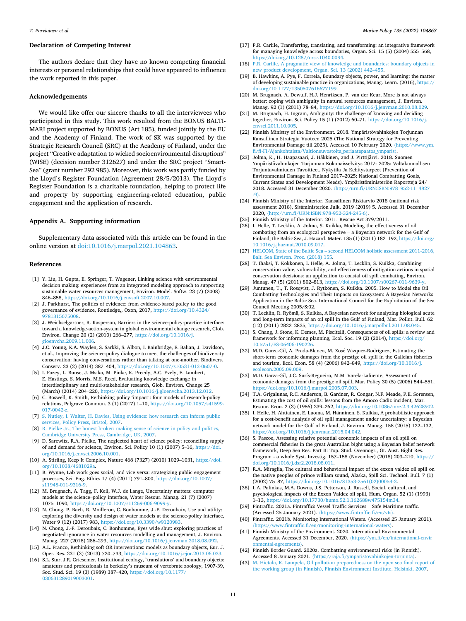## <span id="page-11-0"></span>**Declaration of Competing Interest**

The authors declare that they have no known competing fnancial interests or personal relationships that could have appeared to infuence the work reported in this paper.

### **Acknowledgements**

We would like offer our sincere thanks to all the interviewees who participated in this study. This work resulted from the BONUS BALTI-MARI project supported by BONUS (Art 185), funded jointly by the EU and the Academy of Finland. The work of SK was supported by the Strategic Research Council (SRC) at the Academy of Finland, under the project "Creative adaptation to wicked socioenvironmental disruptions" (WISE) (decision number 312627) and under the SRC project "Smart-Sea" (grant number 292 985). Moreover, this work was partly funded by the Lloyd's Register Foundation (Agreement 28/5/2013). The Lloyd's Register Foundation is a charitable foundation, helping to protect life and property by supporting engineering-related education, public engagement and the application of research.

## **Appendix A. Supporting information**

Supplementary data associated with this article can be found in the online version at [doi:10.1016/j.marpol.2021.104863.](https://doi.org/10.1016/j.marpol.2021.104863)

#### **References**

- [1] Y. Liu, H. Gupta, E. Springer, T. Wagener, Linking science with environmental decision making: experiences from an integrated modeling approach to supporting sustainable water resources management, Environ. Model. Softw. 23 (7) (2008) 846–858, <https://doi.org/10.1016/j.envsoft.2007.10.007>.
- [2] J. Parkhurst, The politics of evidence: from evidence-based policy to the good governance of evidence, Routledge,, Oxon, 2017, [https://doi.org/10.4324/](https://doi.org/10.4324/9781315675008) [9781315675008.](https://doi.org/10.4324/9781315675008)
- [3] J. Weichselgartner, R. Kasperson, Barriers in the science-policy-practice interface: toward a knowledge-action-system in global environmental change research, Glob. Environ. Change 20 (2) (2010) 266–277, [https://doi.org/10.1016/j.](https://doi.org/10.1016/j.gloenvcha.2009.11.006) [gloenvcha.2009.11.006](https://doi.org/10.1016/j.gloenvcha.2009.11.006).
- [4] J.C. Young, K.A. Waylen, S. Sarkki, S. Albon, I. Bainbridge, E. Balian, J. Davidson, et al., Improving the science-policy dialogue to meet the challenges of biodiversity conservation: having conversations rather than talking at one-another, Biodivers. Conserv. 23 (2) (2014) 387–404, <https://doi.org/10.1007/s10531-013-0607-0>.
- [5] I. Fazey, L. Bunse, J. Msika, M. Pinke, K. Preedy, A.C. Evely, E. Lambert, E. Hastings, S. Morris, M.S. Reed, Evaluating knowledge exchange in interdisciplinary and multi-stakeholder research, Glob. Environ. Change 25 (March) (2014) 204–220, [https://doi.org/10.1016/j.gloenvcha.2013.12.012.](https://doi.org/10.1016/j.gloenvcha.2013.12.012)
- [6] C. Boswell, K. Smith, Rethinking policy 'impact': four models of research-policy relations, Palgrave Commun. 3 (1) (2017) 1–10, [https://doi.org/10.1057/s41599-](https://doi.org/10.1057/s41599-017-0042-z)  [017-0042-z](https://doi.org/10.1057/s41599-017-0042-z).
- [7] [S. Nutley, I. Walter, H. Davies, Using evidence: how research can inform public](http://refhub.elsevier.com/S0308-597X(21)00474-7/sbref7) [services, Policy Press, Bristol, 2007](http://refhub.elsevier.com/S0308-597X(21)00474-7/sbref7).
- [8] [R. Pielke Jr., The honest broker: making sense of science in policy and politics,](http://refhub.elsevier.com/S0308-597X(21)00474-7/sbref8)  [Cambridge University Press, Cambridge, UK, 2007.](http://refhub.elsevier.com/S0308-597X(21)00474-7/sbref8)
- [9] D. Sarewitz, R.A. Pielke, The neglected heart of science policy: reconciling supply of and demand for science, Environ. Sci. Policy 10 (1) (2007) 5–16, [https://doi.](https://doi.org/10.1016/j.envsci.2006.10.001)  [org/10.1016/j.envsci.2006.10.001.](https://doi.org/10.1016/j.envsci.2006.10.001)
- [10] A. Stirling, Keep It Complex, Nature 468 (7327) (2010) 1029–1031, [https://doi.](https://doi.org/10.1038/4681029a)  [org/10.1038/4681029a](https://doi.org/10.1038/4681029a).
- [11] B. Wynne, Lab work goes social, and vice versa: strategizing public engagement processes, Sci. Eng. Ethics 17 (4) (2011) 791–800, [https://doi.org/10.1007/](https://doi.org/10.1007/s11948-011-9316-9)  [s11948-011-9316-9](https://doi.org/10.1007/s11948-011-9316-9).
- [12] M. Brugnach, A. Tagg, F. Keil, W.J. de Lange, Uncertainty matters: computer models at the science–policy interface, Water Resour. Manag. 21 (7) (2007) 1075–1090, [https://doi.org/10.1007/s11269-006-9099-y.](https://doi.org/10.1007/s11269-006-9099-y)
- [13] N. Chong, P. Bach, R. Moilleron, C. Bonhomme, J.-F. Deroubaix, Use and utility: exploring the diversity and design of water models at the science-policy interface, Water 9 (12) (2017) 983, [https://doi.org/10.3390/w9120983.](https://doi.org/10.3390/w9120983)
- [14] N. Chong, J.-F. Deroubaix, C. Bonhomme, Eyes wide shut: exploring practices of negotiated ignorance in water resources modelling and management, J. Environ. Manag. 227 (2018) 286–293, <https://doi.org/10.1016/j.jenvman.2018.08.092>.
- [15] A.L. Franco, Rethinking soft OR interventions: models as boundary objects, Eur. J. Oper. Res. 231 (3) (2013) 720–733, <https://doi.org/10.1016/j.ejor.2013.06.033>.
- [16] S.L. Star, J.R. Griesemer, Institutional ecology, `translations' and boundary objects: amateurs and professionals in berkeley's museum of vertebrate zoology, 1907-39, Soc. Stud. Sci. 19 (3) (1989) 387–420, [https://doi.org/10.1177/](https://doi.org/10.1177/030631289019003001) [030631289019003001.](https://doi.org/10.1177/030631289019003001)
- [17] P.R. Carlile, Transferring, translating, and transforming: an integrative framework for managing knowledge across boundaries, Organ. Sci. 15 (5) (2004) 555–568, [https://doi.org/10.1287/orsc.1040.0094.](https://doi.org/10.1287/orsc.1040.0094)
- [18] [P.R. Carlile, A pragmatic view of knowledge and boundaries: boundary objects in](http://refhub.elsevier.com/S0308-597X(21)00474-7/sbref18)  [new product development, Organ. Sci. 13 \(2002\) 442](http://refhub.elsevier.com/S0308-597X(21)00474-7/sbref18)–455.
- [19] B. Hawkins, A. Pye, F. Correia, Boundary objects, power, and learning: the matter of developing sustainable practice in organizations, Manag. Learn. (2016), [https://](https://doi.org/10.1177/1350507616677199)  [doi.org/10.1177/1350507616677199](https://doi.org/10.1177/1350507616677199).
- [20] M. Brugnach, A. Dewulf, H.J. Henriksen, P. van der Keur, More is not always better: coping with ambiguity in natural resources management, J. Environ. Manag. 92 (1) (2011) 78–84, [https://doi.org/10.1016/j.jenvman.2010.08.029.](https://doi.org/10.1016/j.jenvman.2010.08.029)
- [21] M. Brugnach, H. Ingram, Ambiguity: the challenge of knowing and deciding together, Environ. Sci. Policy 15 (1) (2012) 60–71, [https://doi.org/10.1016/j.](https://doi.org/10.1016/j.envsci.2011.10.005) [envsci.2011.10.005](https://doi.org/10.1016/j.envsci.2011.10.005).
- [22] Finnish Ministry of the Environment. 2018. Ympäristövahinkojen Torjunnan Kansallinen Strategia Vuoteen 2025 (The National Strategy for Preventing Environmental Damage till 2025). Accessed 10 February 2020. 〈[https://www.ym.](https://www.ym.fi/fi-FI/Ajankohtaista/Valtioneuvostolta_periaatepaatos_ymparis)  [f/f-FI/Ajankohtaista/Valtioneuvostolta\\_periaatepaatos\\_ymparis](https://www.ym.fi/fi-FI/Ajankohtaista/Valtioneuvostolta_periaatepaatos_ymparis)〉.
- [23] Jolma, K., H. Haapasaari, J. Häkkinen, and J. Pirttijärvi. 2018. Suomen Ympäristövahinkojen Torjunnan Kokonaisselvitys 2017- 2025: Valtakunnallisen Torjuntavalmiuden Tavoitteet, Nykytila Ja Kehitystarpeet (Prevention of Environmental Damage in Finland 2017–2025: National Combatting Goals, Current States and Development Needs). Ympäristöministeriön Raportteja 24/ 2018. Accessed 31 December 2020. 〈[http://urn.f/URN:ISBN:978](http://urn.fi/URN:ISBN:978-952-11-4827-9)–952-11–4827
- [-9](http://urn.fi/URN:ISBN:978-952-11-4827-9)〉. [24] Finnish Ministry of the Interior, Kansallinen Riskiarvio 2018 (national risk assessment 2018), Sisäministeriön Julk. 2019 (2019) 5. Accessed 31 December 2020, 〈[http://urn.f/URN:ISBN:978-952-324-245-6](http://urn.fi/URN:ISBN:978-952-324-245-6)〉.
- [25] Finnish Ministry of the Interior. 2011. Rescue Act 379/2011.
- [26] I. Helle, T. Lecklin, A. Jolma, S. Kuikka, Modeling the effectiveness of oil combating from an ecological perspective – a Bayesian network for the Gulf of Finland; the Baltic Sea, J. Hazard. Mater. 185 (1) (2011) 182–192, [https://doi.org/](https://doi.org/10.1016/j.jhazmat.2010.09.017)  [10.1016/j.jhazmat.2010.09.017](https://doi.org/10.1016/j.jhazmat.2010.09.017).
- [27] HELCOM, State of the Baltic Sea [second HELCOM holistic assessment 2011-2016,](http://refhub.elsevier.com/S0308-597X(21)00474-7/sbref24)  [Balt. Sea Environ. Proc. \(2018\) 155.](http://refhub.elsevier.com/S0308-597X(21)00474-7/sbref24)
- [28] T. Ihaksi, T. Kokkonen, I. Helle, A. Jolma, T. Lecklin, S. Kuikka, Combining conservation value, vulnerability, and effectiveness of mitigation actions in spatial conservation decisions: an application to coastal oil spill combating, Environ. Manag. 47 (5) (2011) 802–813, [https://doi.org/10.1007/s00267-011-9639-y.](https://doi.org/10.1007/s00267-011-9639-y)
- [29] Juntunen, T., T. Rosqvist, J. Rytkönen, S. Kuikka. 2005. How to Model the Oil Combatting Technologies and Their Impacts on Ecosystem: A Bayesian Networks Application in the Baltic Sea. International Council for the Exploitation of the Sea Council Meeting 2005/S:02.
- [30] T. Lecklin, R. Ryömä, S. Kuikka, A Bayesian network for analyzing biological acute and long-term impacts of an oil spill in the Gulf of Finland, Mar. Pollut. Bull. 62 (12) (2011) 2822–2835, [https://doi.org/10.1016/j.marpolbul.2011.08.045.](https://doi.org/10.1016/j.marpolbul.2011.08.045)
- [31] S. Chang, J. Stone, K. Demes, M. Piscitelli, Consequences of oil spills: a review and framework for informing planning, Ecol. Soc. 19 (2) (2014), https://doi.org [10.5751/ES-06406-190226](https://doi.org/10.5751/ES-06406-190226).
- [32] M.D. Garza-Gil, A. Prada-Blanco, M. Xosé Vázquez-Rodríguez, Estimating the short-term economic damages from the prestige oil spill in the Galician fsheries and tourism, Ecol. Econ. 58 (4) (2006) 842–849, [https://doi.org/10.1016/j.](https://doi.org/10.1016/j.ecolecon.2005.09.009) [ecolecon.2005.09.009](https://doi.org/10.1016/j.ecolecon.2005.09.009).
- [33] M.D. Garza-Gil, J.C. Surís-Regueiro, M.M. Varela-Lafuente, Assessment of economic damages from the prestige oil spill, Mar. Policy 30 (5) (2006) 544–551, <https://doi.org/10.1016/j.marpol.2005.07.003>.
- [34] T.A. Grigalunas, R.C. Anderson, B. Gardner, R. Congar, N.F. Meade, P.E. Sorensen, Estimating the cost of oil spills: lessons from the Amoco Cadiz incident, Mar. Resour. Econ. 2 (3) (1986) 239–262, [https://doi.org/10.1086/mre.2.3.42628902.](https://doi.org/10.1086/mre.2.3.42628902)
- [35] I. Helle, H. Ahtiainen, E. Luoma, M. Hänninen, S. Kuikka, A probabilistic approach for a cost-benefit analysis of oil spill management under uncertainty: a Bayesian network model for the Gulf of Finland, J. Environ. Manag. 158 (2015) 122–132, [https://doi.org/10.1016/j.jenvman.2015.04.042.](https://doi.org/10.1016/j.jenvman.2015.04.042)
- [36] S. Pascoe, Assessing relative potential economic impacts of an oil spill on commercial fsheries in the great Australian bight using a Bayesian belief network framework, Deep Sea Res. Part II: Top. Stud. Oceanogr., Gt. Aust. Bight Res. Program - a whole Syst. Investig. 157–158 (November) (2018) 203–210, [https://](https://doi.org/10.1016/j.dsr2.2018.08.011)  [doi.org/10.1016/j.dsr2.2018.08.011](https://doi.org/10.1016/j.dsr2.2018.08.011).
- [37] R.A. Miraglia, The cultural and behavioral impact of the exxon valdez oil spill on the native peoples of prince william sound, Alaska, Spill Sci. Technol. Bull. 7 (1) (2002) 75–87, [https://doi.org/10.1016/S1353-2561\(02\)00054-3](https://doi.org/10.1016/S1353-2561(02)00054-3).
- [38] L.A. Palinkas, M.A. Downs, J.S. Petterson, J. Russell, Social, cultural, and psychological impacts of the Exxon Valdez oil spill, Hum. Organ. 52 (1) (1993) 1–13, <https://doi.org/10.17730/humo.52.1.162688w475154m34>.
- [39] Fintraffic. 2021a. Fintraffics Vessel Traffic Services Safe Maritime traffic. (Accessed 25 January 2021). (https://www.fintraffic.fi/en/vt
- [40] Fintraffic. 2021b. Monitoring International Waters. (Accessed 25 January 2021). vww.fintraffic.fi/en/monitoring-international-waters
- [41] Finnish Ministry of the Environment. 2020. International Environmental Agreements. Accessed 31 December, 2020. (https://ym.fi/en/international-envir [onmental-agreements](https://ym.fi/en/international-environmental-agreements)〉.
- [42] Finnish Border Guard. 2020a. Combatting environmental risks (in Finnish). Accessed 8 January 2021. (https://raja.fi/ymparistovahinkojen-torjunta).
- [43] M. Hietala, K. Lampela, Oil pollution preparedness on the open sea final report of [the working group \(in Finnish\), Finnish Environment Institute, Helsinki, 2007.](http://refhub.elsevier.com/S0308-597X(21)00474-7/sbref35)